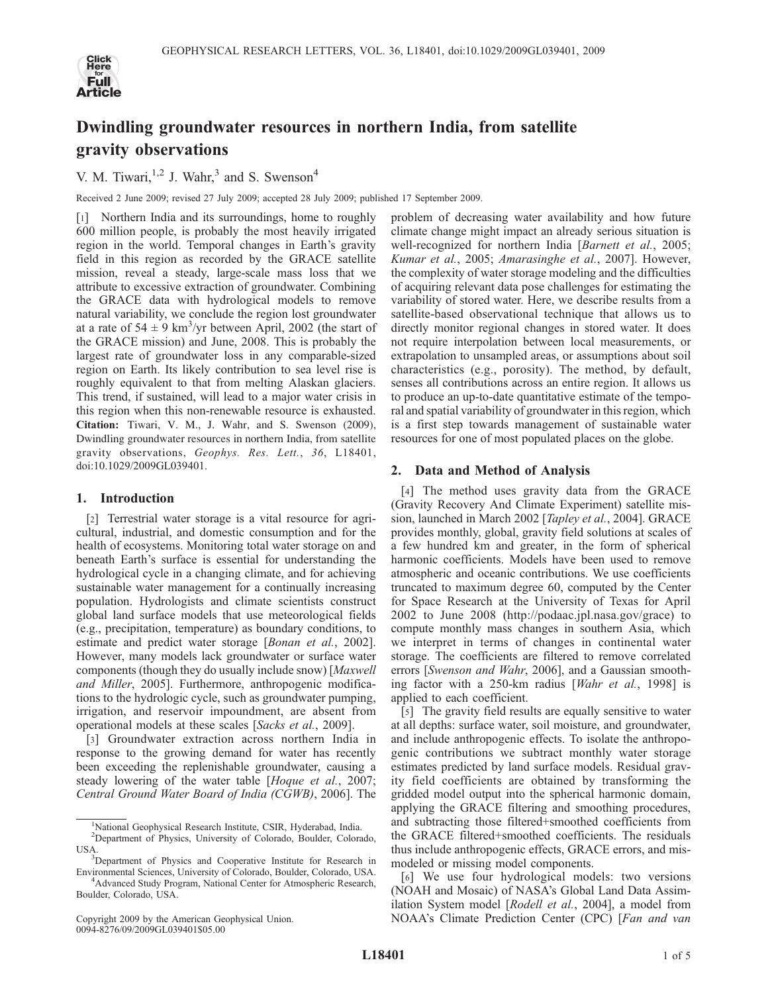

# Dwindling groundwater resources in northern India, from satellite gravity observations

V. M. Tiwari,  $1,2$  J. Wahr,  $3$  and S. Swenson<sup>4</sup>

Received 2 June 2009; revised 27 July 2009; accepted 28 July 2009; published 17 September 2009.

[1] Northern India and its surroundings, home to roughly 600 million people, is probably the most heavily irrigated region in the world. Temporal changes in Earth's gravity field in this region as recorded by the GRACE satellite mission, reveal a steady, large-scale mass loss that we attribute to excessive extraction of groundwater. Combining the GRACE data with hydrological models to remove natural variability, we conclude the region lost groundwater at a rate of  $54 \pm 9$  km<sup>3</sup>/yr between April, 2002 (the start of the GRACE mission) and June, 2008. This is probably the largest rate of groundwater loss in any comparable-sized region on Earth. Its likely contribution to sea level rise is roughly equivalent to that from melting Alaskan glaciers. This trend, if sustained, will lead to a major water crisis in this region when this non-renewable resource is exhausted. Citation: Tiwari, V. M., J. Wahr, and S. Swenson (2009), Dwindling groundwater resources in northern India, from satellite gravity observations, Geophys. Res. Lett., 36, L18401, doi:10.1029/2009GL039401.

## 1. Introduction

[2] Terrestrial water storage is a vital resource for agricultural, industrial, and domestic consumption and for the health of ecosystems. Monitoring total water storage on and beneath Earth's surface is essential for understanding the hydrological cycle in a changing climate, and for achieving sustainable water management for a continually increasing population. Hydrologists and climate scientists construct global land surface models that use meteorological fields (e.g., precipitation, temperature) as boundary conditions, to estimate and predict water storage [Bonan et al., 2002]. However, many models lack groundwater or surface water components (though they do usually include snow) [Maxwell and Miller, 2005]. Furthermore, anthropogenic modifications to the hydrologic cycle, such as groundwater pumping, irrigation, and reservoir impoundment, are absent from operational models at these scales [Sacks et al., 2009].

[3] Groundwater extraction across northern India in response to the growing demand for water has recently been exceeding the replenishable groundwater, causing a steady lowering of the water table [Hoque et al., 2007; Central Ground Water Board of India (CGWB), 2006]. The problem of decreasing water availability and how future climate change might impact an already serious situation is well-recognized for northern India [Barnett et al., 2005; Kumar et al., 2005; Amarasinghe et al., 2007]. However, the complexity of water storage modeling and the difficulties of acquiring relevant data pose challenges for estimating the variability of stored water. Here, we describe results from a satellite-based observational technique that allows us to directly monitor regional changes in stored water. It does not require interpolation between local measurements, or extrapolation to unsampled areas, or assumptions about soil characteristics (e.g., porosity). The method, by default, senses all contributions across an entire region. It allows us to produce an up-to-date quantitative estimate of the temporal and spatial variability of groundwater in this region, which is a first step towards management of sustainable water resources for one of most populated places on the globe.

## 2. Data and Method of Analysis

[4] The method uses gravity data from the GRACE (Gravity Recovery And Climate Experiment) satellite mission, launched in March 2002 [*Tapley et al.*, 2004]. GRACE provides monthly, global, gravity field solutions at scales of a few hundred km and greater, in the form of spherical harmonic coefficients. Models have been used to remove atmospheric and oceanic contributions. We use coefficients truncated to maximum degree 60, computed by the Center for Space Research at the University of Texas for April 2002 to June 2008 (http://podaac.jpl.nasa.gov/grace) to compute monthly mass changes in southern Asia, which we interpret in terms of changes in continental water storage. The coefficients are filtered to remove correlated errors [Swenson and Wahr, 2006], and a Gaussian smoothing factor with a 250-km radius [Wahr et al., 1998] is applied to each coefficient.

[5] The gravity field results are equally sensitive to water at all depths: surface water, soil moisture, and groundwater, and include anthropogenic effects. To isolate the anthropogenic contributions we subtract monthly water storage estimates predicted by land surface models. Residual gravity field coefficients are obtained by transforming the gridded model output into the spherical harmonic domain, applying the GRACE filtering and smoothing procedures, and subtracting those filtered+smoothed coefficients from the GRACE filtered+smoothed coefficients. The residuals thus include anthropogenic effects, GRACE errors, and mismodeled or missing model components.

[6] We use four hydrological models: two versions (NOAH and Mosaic) of NASA's Global Land Data Assimilation System model [Rodell et al., 2004], a model from NOAA's Climate Prediction Center (CPC) [Fan and van

<sup>&</sup>lt;sup>1</sup>National Geophysical Research Institute, CSIR, Hyderabad, India. 2 Department of Physics, University of Colorado, Boulder, Colorado, USA.

<sup>&</sup>lt;sup>3</sup>Department of Physics and Cooperative Institute for Research in Environmental Sciences, University of Colorado, Boulder, Colorado, USA. <sup>4</sup> <sup>4</sup>Advanced Study Program, National Center for Atmospheric Research,

Boulder, Colorado, USA.

Copyright 2009 by the American Geophysical Union. 0094-8276/09/2009GL039401\$05.00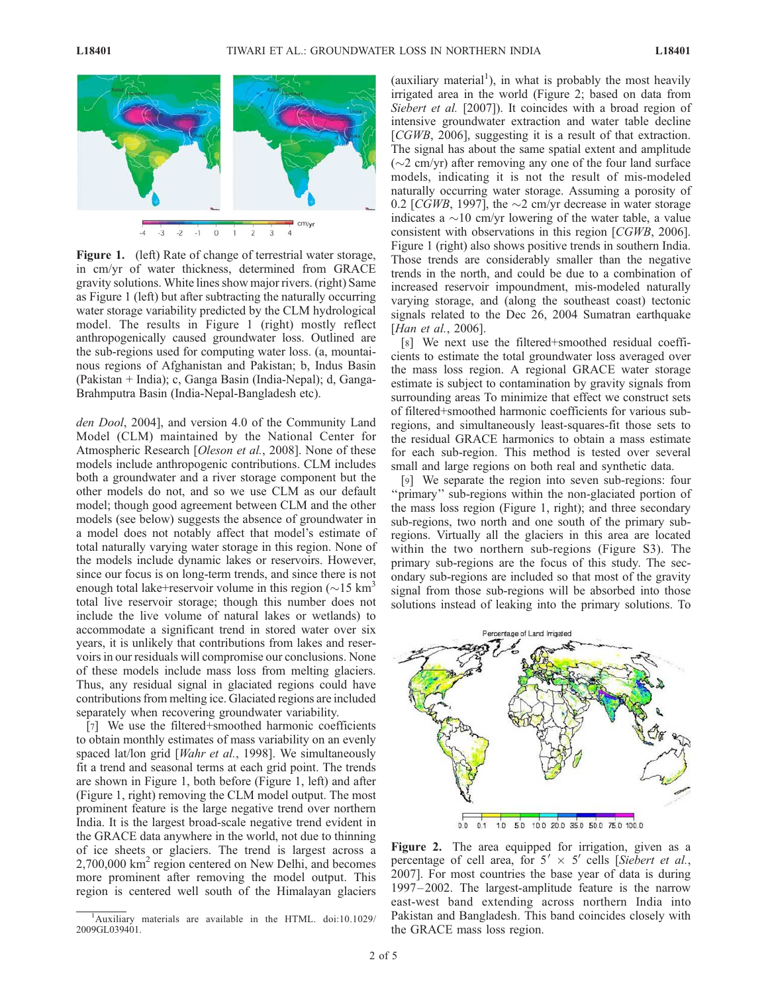

Figure 1. (left) Rate of change of terrestrial water storage, in cm/yr of water thickness, determined from GRACE gravity solutions. White lines show major rivers. (right) Same as Figure 1 (left) but after subtracting the naturally occurring water storage variability predicted by the CLM hydrological model. The results in Figure 1 (right) mostly reflect anthropogenically caused groundwater loss. Outlined are the sub-regions used for computing water loss. (a, mountainous regions of Afghanistan and Pakistan; b, Indus Basin (Pakistan + India); c, Ganga Basin (India-Nepal); d, Ganga-Brahmputra Basin (India-Nepal-Bangladesh etc).

den Dool, 2004], and version 4.0 of the Community Land Model (CLM) maintained by the National Center for Atmospheric Research [*Oleson et al.*, 2008]. None of these models include anthropogenic contributions. CLM includes both a groundwater and a river storage component but the other models do not, and so we use CLM as our default model; though good agreement between CLM and the other models (see below) suggests the absence of groundwater in a model does not notably affect that model's estimate of total naturally varying water storage in this region. None of the models include dynamic lakes or reservoirs. However, since our focus is on long-term trends, and since there is not enough total lake+reservoir volume in this region  $(\sim 15 \text{ km}^3)$ total live reservoir storage; though this number does not include the live volume of natural lakes or wetlands) to accommodate a significant trend in stored water over six years, it is unlikely that contributions from lakes and reservoirs in our residuals will compromise our conclusions. None of these models include mass loss from melting glaciers. Thus, any residual signal in glaciated regions could have contributions from melting ice. Glaciated regions are included separately when recovering groundwater variability.

[7] We use the filtered+smoothed harmonic coefficients to obtain monthly estimates of mass variability on an evenly spaced lat/lon grid [*Wahr et al.*, 1998]. We simultaneously fit a trend and seasonal terms at each grid point. The trends are shown in Figure 1, both before (Figure 1, left) and after (Figure 1, right) removing the CLM model output. The most prominent feature is the large negative trend over northern India. It is the largest broad-scale negative trend evident in the GRACE data anywhere in the world, not due to thinning of ice sheets or glaciers. The trend is largest across a  $2,700,000$  km<sup>2</sup> region centered on New Delhi, and becomes more prominent after removing the model output. This region is centered well south of the Himalayan glaciers

(auxiliary material<sup>1</sup>), in what is probably the most heavily irrigated area in the world (Figure 2; based on data from Siebert et al. [2007]). It coincides with a broad region of intensive groundwater extraction and water table decline [CGWB, 2006], suggesting it is a result of that extraction. The signal has about the same spatial extent and amplitude  $(\sim 2 \text{ cm/yr})$  after removing any one of the four land surface models, indicating it is not the result of mis-modeled naturally occurring water storage. Assuming a porosity of 0.2 [CGWB, 1997], the  $\sim$ 2 cm/yr decrease in water storage indicates a  $\sim$ 10 cm/yr lowering of the water table, a value consistent with observations in this region [CGWB, 2006]. Figure 1 (right) also shows positive trends in southern India. Those trends are considerably smaller than the negative trends in the north, and could be due to a combination of increased reservoir impoundment, mis-modeled naturally varying storage, and (along the southeast coast) tectonic signals related to the Dec 26, 2004 Sumatran earthquake [Han et al., 2006].

[8] We next use the filtered+smoothed residual coefficients to estimate the total groundwater loss averaged over the mass loss region. A regional GRACE water storage estimate is subject to contamination by gravity signals from surrounding areas To minimize that effect we construct sets of filtered+smoothed harmonic coefficients for various subregions, and simultaneously least-squares-fit those sets to the residual GRACE harmonics to obtain a mass estimate for each sub-region. This method is tested over several small and large regions on both real and synthetic data.

[9] We separate the region into seven sub-regions: four "primary" sub-regions within the non-glaciated portion of the mass loss region (Figure 1, right); and three secondary sub-regions, two north and one south of the primary subregions. Virtually all the glaciers in this area are located within the two northern sub-regions (Figure S3). The primary sub-regions are the focus of this study. The secondary sub-regions are included so that most of the gravity signal from those sub-regions will be absorbed into those solutions instead of leaking into the primary solutions. To



Figure 2. The area equipped for irrigation, given as a percentage of cell area, for  $5' \times 5'$  cells [Siebert et al., 2007]. For most countries the base year of data is during 1997– 2002. The largest-amplitude feature is the narrow east-west band extending across northern India into Pakistan and Bangladesh. This band coincides closely with the GRACE mass loss region.

<sup>&</sup>lt;sup>1</sup>Auxiliary materials are available in the HTML. doi:10.1029/ 2009GL039401.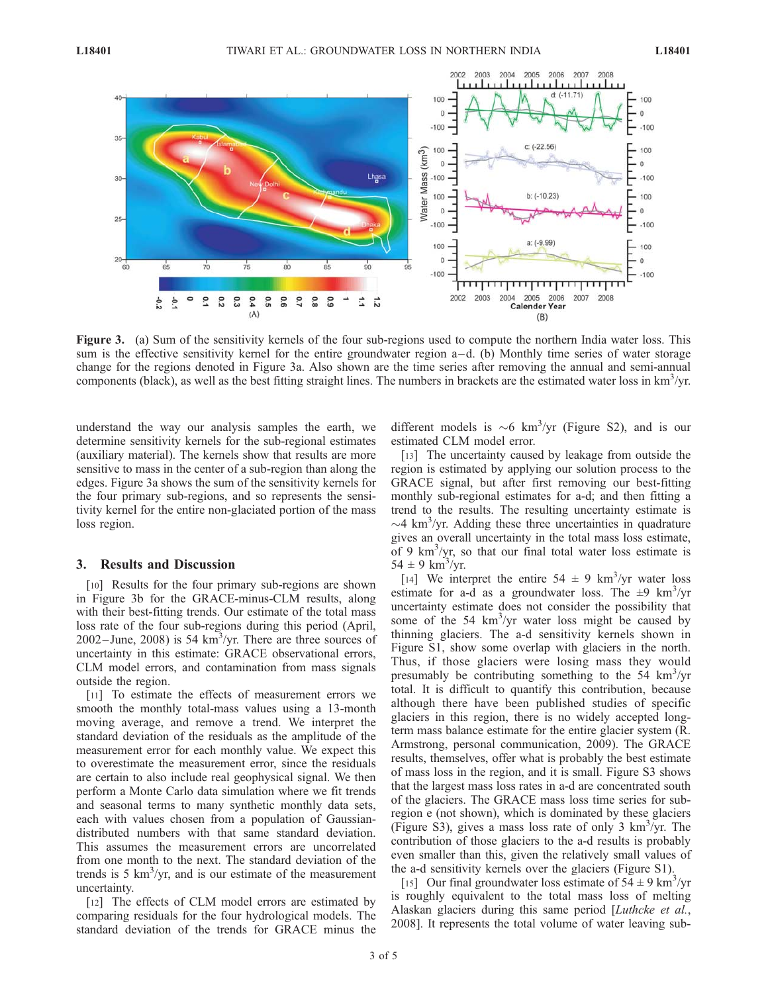

Figure 3. (a) Sum of the sensitivity kernels of the four sub-regions used to compute the northern India water loss. This sum is the effective sensitivity kernel for the entire groundwater region  $a-d$ . (b) Monthly time series of water storage change for the regions denoted in Figure 3a. Also shown are the time series after removing the annual and semi-annual components (black), as well as the best fitting straight lines. The numbers in brackets are the estimated water loss in  $km^3$ /yr.

understand the way our analysis samples the earth, we determine sensitivity kernels for the sub-regional estimates (auxiliary material). The kernels show that results are more sensitive to mass in the center of a sub-region than along the edges. Figure 3a shows the sum of the sensitivity kernels for the four primary sub-regions, and so represents the sensitivity kernel for the entire non-glaciated portion of the mass loss region.

### 3. Results and Discussion

[10] Results for the four primary sub-regions are shown in Figure 3b for the GRACE-minus-CLM results, along with their best-fitting trends. Our estimate of the total mass loss rate of the four sub-regions during this period (April,  $2002 - \text{June}, 2008$ ) is 54 km<sup>3</sup>/yr. There are three sources of uncertainty in this estimate: GRACE observational errors, CLM model errors, and contamination from mass signals outside the region.

[11] To estimate the effects of measurement errors we smooth the monthly total-mass values using a 13-month moving average, and remove a trend. We interpret the standard deviation of the residuals as the amplitude of the measurement error for each monthly value. We expect this to overestimate the measurement error, since the residuals are certain to also include real geophysical signal. We then perform a Monte Carlo data simulation where we fit trends and seasonal terms to many synthetic monthly data sets, each with values chosen from a population of Gaussiandistributed numbers with that same standard deviation. This assumes the measurement errors are uncorrelated from one month to the next. The standard deviation of the trends is 5  $\text{km}^3/\text{yr}$ , and is our estimate of the measurement uncertainty.

[12] The effects of CLM model errors are estimated by comparing residuals for the four hydrological models. The standard deviation of the trends for GRACE minus the

different models is  $\sim 6$  km<sup>3</sup>/yr (Figure S2), and is our estimated CLM model error.

[13] The uncertainty caused by leakage from outside the region is estimated by applying our solution process to the GRACE signal, but after first removing our best-fitting monthly sub-regional estimates for a-d; and then fitting a trend to the results. The resulting uncertainty estimate is  $\sim$ 4 km<sup>3</sup>/yr. Adding these three uncertainties in quadrature gives an overall uncertainty in the total mass loss estimate, of 9  $\text{km}^3/\text{yr}$ , so that our final total water loss estimate is  $54 \pm 9 \text{ km}^3/\text{yr}.$ 

[14] We interpret the entire  $54 \pm 9$  km<sup>3</sup>/yr water loss estimate for a-d as a groundwater loss. The  $\pm 9$  km<sup>3</sup>/yr uncertainty estimate does not consider the possibility that some of the 54  $\text{km}^3/\text{yr}$  water loss might be caused by thinning glaciers. The a-d sensitivity kernels shown in Figure S1, show some overlap with glaciers in the north. Thus, if those glaciers were losing mass they would presumably be contributing something to the 54 km<sup>3</sup>/yr total. It is difficult to quantify this contribution, because although there have been published studies of specific glaciers in this region, there is no widely accepted longterm mass balance estimate for the entire glacier system (R. Armstrong, personal communication, 2009). The GRACE results, themselves, offer what is probably the best estimate of mass loss in the region, and it is small. Figure S3 shows that the largest mass loss rates in a-d are concentrated south of the glaciers. The GRACE mass loss time series for subregion e (not shown), which is dominated by these glaciers (Figure S3), gives a mass loss rate of only 3  $\text{km}^3/\text{yr}$ . The contribution of those glaciers to the a-d results is probably even smaller than this, given the relatively small values of the a-d sensitivity kernels over the glaciers (Figure S1).

[15] Our final groundwater loss estimate of  $54 \pm 9$  km<sup>3</sup>/yr is roughly equivalent to the total mass loss of melting Alaskan glaciers during this same period [Luthcke et al., 2008]. It represents the total volume of water leaving sub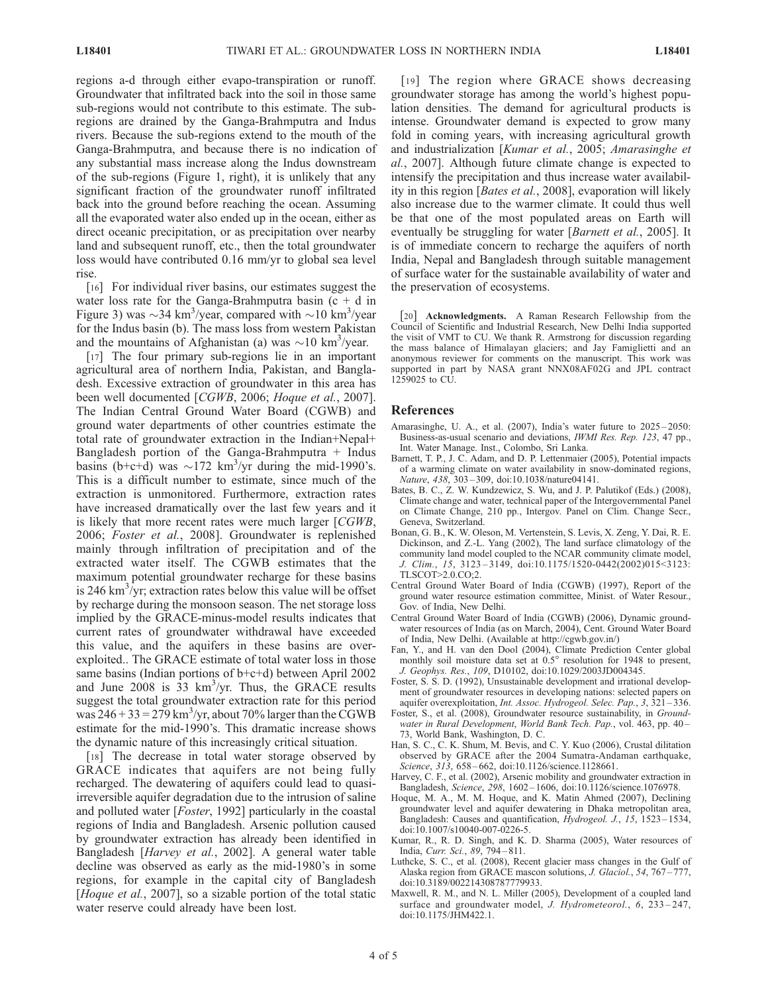regions a-d through either evapo-transpiration or runoff. Groundwater that infiltrated back into the soil in those same sub-regions would not contribute to this estimate. The subregions are drained by the Ganga-Brahmputra and Indus rivers. Because the sub-regions extend to the mouth of the Ganga-Brahmputra, and because there is no indication of any substantial mass increase along the Indus downstream of the sub-regions (Figure 1, right), it is unlikely that any significant fraction of the groundwater runoff infiltrated back into the ground before reaching the ocean. Assuming all the evaporated water also ended up in the ocean, either as direct oceanic precipitation, or as precipitation over nearby land and subsequent runoff, etc., then the total groundwater loss would have contributed 0.16 mm/yr to global sea level rise.

[16] For individual river basins, our estimates suggest the water loss rate for the Ganga-Brahmputra basin  $(c + d)$  in Figure 3) was  $\sim$ 34 km<sup>3</sup>/year, compared with  $\sim$ 10 km<sup>3</sup>/year for the Indus basin (b). The mass loss from western Pakistan and the mountains of Afghanistan (a) was  $\sim$ 10 km<sup>3</sup>/year.

[17] The four primary sub-regions lie in an important agricultural area of northern India, Pakistan, and Bangladesh. Excessive extraction of groundwater in this area has been well documented [CGWB, 2006; Hoque et al., 2007]. The Indian Central Ground Water Board (CGWB) and ground water departments of other countries estimate the total rate of groundwater extraction in the Indian+Nepal+ Bangladesh portion of the Ganga-Brahmputra  $+$  Indus basins (b+c+d) was  $\sim$ 172 km<sup>3</sup>/yr during the mid-1990's. This is a difficult number to estimate, since much of the extraction is unmonitored. Furthermore, extraction rates have increased dramatically over the last few years and it is likely that more recent rates were much larger [CGWB, 2006; Foster et al., 2008]. Groundwater is replenished mainly through infiltration of precipitation and of the extracted water itself. The CGWB estimates that the maximum potential groundwater recharge for these basins is 246  $\text{km}^3/\text{yr}$ ; extraction rates below this value will be offset by recharge during the monsoon season. The net storage loss implied by the GRACE-minus-model results indicates that current rates of groundwater withdrawal have exceeded this value, and the aquifers in these basins are overexploited.. The GRACE estimate of total water loss in those same basins (Indian portions of b+c+d) between April 2002 and June 2008 is  $33 \text{ km}^3/\text{yr}$ . Thus, the GRACE results suggest the total groundwater extraction rate for this period was  $246 + 33 = 279$  km<sup>3</sup>/yr, about 70% larger than the CGWB estimate for the mid-1990's. This dramatic increase shows the dynamic nature of this increasingly critical situation.

[18] The decrease in total water storage observed by GRACE indicates that aquifers are not being fully recharged. The dewatering of aquifers could lead to quasiirreversible aquifer degradation due to the intrusion of saline and polluted water [Foster, 1992] particularly in the coastal regions of India and Bangladesh. Arsenic pollution caused by groundwater extraction has already been identified in Bangladesh [Harvey et al., 2002]. A general water table decline was observed as early as the mid-1980's in some regions, for example in the capital city of Bangladesh [Hoque et al., 2007], so a sizable portion of the total static water reserve could already have been lost.

[19] The region where GRACE shows decreasing groundwater storage has among the world's highest population densities. The demand for agricultural products is intense. Groundwater demand is expected to grow many fold in coming years, with increasing agricultural growth and industrialization [Kumar et al., 2005; Amarasinghe et al., 2007]. Although future climate change is expected to intensify the precipitation and thus increase water availability in this region [Bates et al., 2008], evaporation will likely also increase due to the warmer climate. It could thus well be that one of the most populated areas on Earth will eventually be struggling for water [*Barnett et al.*, 2005]. It is of immediate concern to recharge the aquifers of north India, Nepal and Bangladesh through suitable management of surface water for the sustainable availability of water and the preservation of ecosystems.

[20] Acknowledgments. A Raman Research Fellowship from the Council of Scientific and Industrial Research, New Delhi India supported the visit of VMT to CU. We thank R. Armstrong for discussion regarding the mass balance of Himalayan glaciers; and Jay Famiglietti and an anonymous reviewer for comments on the manuscript. This work was supported in part by NASA grant NNX08AF02G and JPL contract 1259025 to CU.

#### References

- Amarasinghe, U. A., et al. (2007), India's water future to 2025-2050: Business-as-usual scenario and deviations, IWMI Res. Rep. 123, 47 pp., Int. Water Manage. Inst., Colombo, Sri Lanka.
- Barnett, T. P., J. C. Adam, and D. P. Lettenmaier (2005), Potential impacts of a warming climate on water availability in snow-dominated regions, Nature, 438, 303 – 309, doi:10.1038/nature04141.
- Bates, B. C., Z. W. Kundzewicz, S. Wu, and J. P. Palutikof (Eds.) (2008), Climate change and water, technical paper of the Intergovernmental Panel on Climate Change, 210 pp., Intergov. Panel on Clim. Change Secr., Geneva, Switzerland.
- Bonan, G. B., K. W. Oleson, M. Vertenstein, S. Levis, X. Zeng, Y. Dai, R. E. Dickinson, and Z.-L. Yang (2002), The land surface climatology of the community land model coupled to the NCAR community climate model, J. Clim., 15, 3123 – 3149, doi:10.1175/1520-0442(2002)015<3123: TLSCOT>2.0.CO;2.
- Central Ground Water Board of India (CGWB) (1997), Report of the ground water resource estimation committee, Minist. of Water Resour., Gov. of India, New Delhi.
- Central Ground Water Board of India (CGWB) (2006), Dynamic groundwater resources of India (as on March, 2004), Cent. Ground Water Board of India, New Delhi. (Available at http://cgwb.gov.in/)
- Fan, Y., and H. van den Dool (2004), Climate Prediction Center global monthly soil moisture data set at  $0.5^{\circ}$  resolution for 1948 to present, J. Geophys. Res., 109, D10102, doi:10.1029/2003JD004345.
- Foster, S. S. D. (1992), Unsustainable development and irrational development of groundwater resources in developing nations: selected papers on aquifer overexploitation, Int. Assoc. Hydrogeol. Selec. Pap., 3, 321 – 336.
- Foster, S., et al. (2008), Groundwater resource sustainability, in Groundwater in Rural Development, World Bank Tech. Pap., vol. 463, pp. 40-73, World Bank, Washington, D. C.
- Han, S. C., C. K. Shum, M. Bevis, and C. Y. Kuo (2006), Crustal dilitation observed by GRACE after the 2004 Sumatra-Andaman earthquake, Science, 313, 658-662, doi:10.1126/science.1128661.
- Harvey, C. F., et al. (2002), Arsenic mobility and groundwater extraction in Bangladesh, Science, 298, 1602 – 1606, doi:10.1126/science.1076978.
- Hoque, M. A., M. M. Hoque, and K. Matin Ahmed (2007), Declining groundwater level and aquifer dewatering in Dhaka metropolitan area, Bangladesh: Causes and quantification, Hydrogeol. J., 15, 1523 – 1534, doi:10.1007/s10040-007-0226-5.
- Kumar, R., R. D. Singh, and K. D. Sharma (2005), Water resources of India, Curr. Sci., 89, 794 – 811.
- Luthcke, S. C., et al. (2008), Recent glacier mass changes in the Gulf of Alaska region from GRACE mascon solutions, J. Glaciol., 54, 767-777, doi:10.3189/002214308787779933.
- Maxwell, R. M., and N. L. Miller (2005), Development of a coupled land surface and groundwater model, *J. Hydrometeorol.*, 6, 233-247, doi:10.1175/JHM422.1.